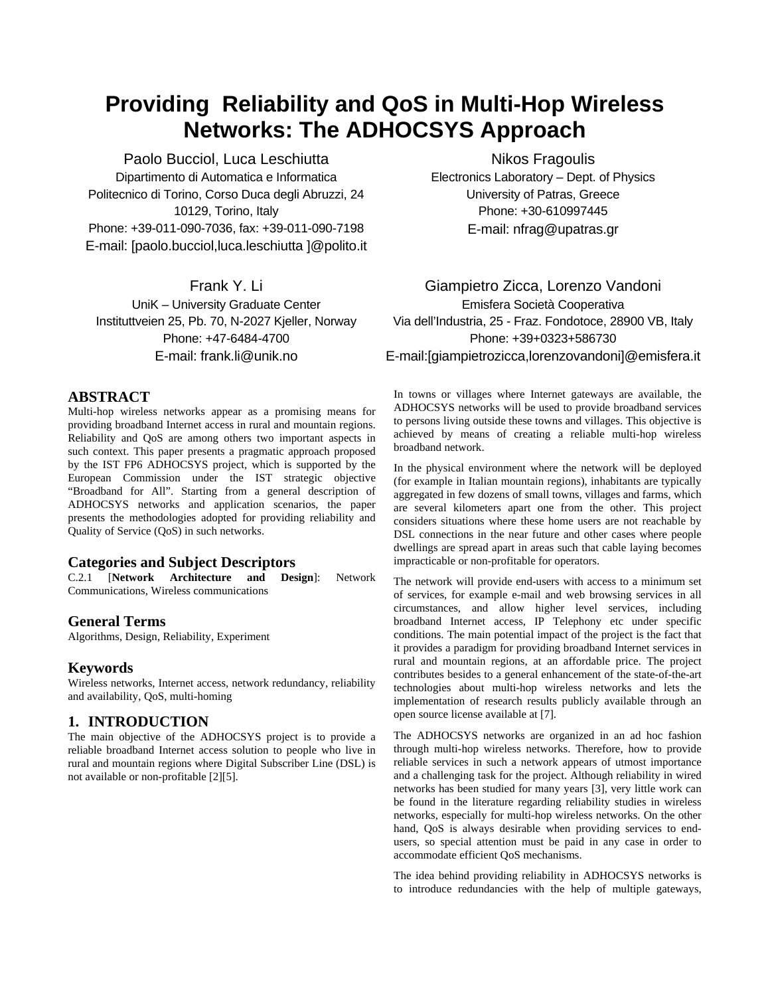# **Providing Reliability and QoS in Multi-Hop Wireless Networks: The ADHOCSYS Approach**

Paolo Bucciol, Luca Leschiutta Dipartimento di Automatica e Informatica Politecnico di Torino, Corso Duca degli Abruzzi, 24 10129, Torino, Italy Phone: +39-011-090-7036, fax: +39-011-090-7198 E-mail: [paolo.bucciol,luca.leschiutta ]@polito.it

Frank Y. Li UniK – University Graduate Center Instituttveien 25, Pb. 70, N-2027 Kjeller, Norway Phone: +47-6484-4700 E-mail: frank.li@unik.no

## **ABSTRACT**

Multi-hop wireless networks appear as a promising means for providing broadband Internet access in rural and mountain regions. Reliability and QoS are among others two important aspects in such context. This paper presents a pragmatic approach proposed by the IST FP6 ADHOCSYS project, which is supported by the European Commission under the IST strategic objective "Broadband for All". Starting from a general description of ADHOCSYS networks and application scenarios, the paper presents the methodologies adopted for providing reliability and Quality of Service (QoS) in such networks.

# **Categories and Subject Descriptors**

C.2.1 [**Network Architecture and Design**]: Network Communications, Wireless communications

### **General Terms**

Algorithms, Design, Reliability, Experiment

### **Keywords**

Wireless networks, Internet access, network redundancy, reliability and availability, QoS, multi-homing

### **1. INTRODUCTION**

The main objective of the ADHOCSYS project is to provide a reliable broadband Internet access solution to people who live in rural and mountain regions where Digital Subscriber Line (DSL) is not available or non-profitable [\[2\]](#page-6-0)[\[5\]](#page-6-1).

Nikos Fragoulis Electronics Laboratory – Dept. of Physics University of Patras, Greece Phone: +30-610997445 E-mail: nfrag@upatras.gr

# Giampietro Zicca, Lorenzo Vandoni Emisfera Società Cooperativa Via dell'Industria, 25 - Fraz. Fondotoce, 28900 VB, Italy Phone: +39+0323+586730 E-mail:[giampietrozicca,lorenzovandoni]@emisfera.it

In towns or villages where Internet gateways are available, the ADHOCSYS networks will be used to provide broadband services to persons living outside these towns and villages. This objective is achieved by means of creating a reliable multi-hop wireless broadband network.

In the physical environment where the network will be deployed (for example in Italian mountain regions), inhabitants are typically aggregated in few dozens of small towns, villages and farms, which are several kilometers apart one from the other. This project considers situations where these home users are not reachable by DSL connections in the near future and other cases where people dwellings are spread apart in areas such that cable laying becomes impracticable or non-profitable for operators.

The network will provide end-users with access to a minimum set of services, for example e-mail and web browsing services in all circumstances, and allow higher level services, including broadband Internet access, IP Telephony etc under specific conditions. The main potential impact of the project is the fact that it provides a paradigm for providing broadband Internet services in rural and mountain regions, at an affordable price. The project contributes besides to a general enhancement of the state-of-the-art technologies about multi-hop wireless networks and lets the implementation of research results publicly available through an open source license available at [\[7\]](#page-6-2).

The ADHOCSYS networks are organized in an ad hoc fashion through multi-hop wireless networks. Therefore, how to provide reliable services in such a network appears of utmost importance and a challenging task for the project. Although reliability in wired networks has been studied for many years [\[3\],](#page-6-3) very little work can be found in the literature regarding reliability studies in wireless networks, especially for multi-hop wireless networks. On the other hand, QoS is always desirable when providing services to endusers, so special attention must be paid in any case in order to accommodate efficient QoS mechanisms.

The idea behind providing reliability in ADHOCSYS networks is to introduce redundancies with the help of multiple gateways,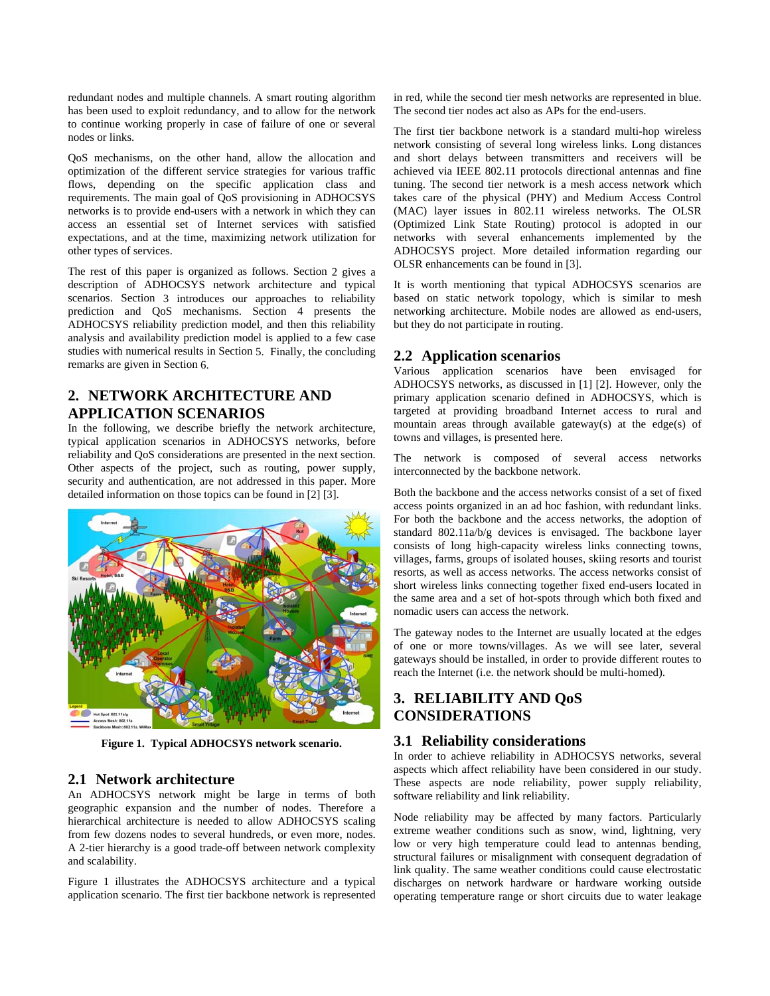redundant nodes and multiple channels. A smart routing algorithm has been used to exploit redundancy, and to allow for the network to continue working properly in case of failure of one or several nodes or links.

QoS mechanisms, on the other hand, allow the allocation and optimization of the different service strategies for various traffic flows, depending on the specific application class and requirements. The main goal of QoS provisioning in ADHOCSYS networks is to provide end-users with a network in which they can access an essential set of Internet services with satisfied expectations, and at the time, maximizing network utilization for other types of services.

The rest of this paper is organized as follows. Section [2](#page-1-0) gives a description of ADHOCSYS network architecture and typical scenarios. Section [3](#page-1-1) introduces our approaches to reliability prediction and QoS mechanisms. Section 4 presents the ADHOCSYS reliability prediction model, and then this reliability analysis and availability prediction model is applied to a few case studies with numerical results in Section [5.](#page-5-0) Finally, the concluding remarks are given in Section [6](#page-6-4).

# <span id="page-1-0"></span>**2. NETWORK ARCHITECTURE AND APPLICATION SCENARIOS**

In the following, we describe briefly the network architecture, typical application scenarios in ADHOCSYS networks, before reliability and QoS considerations are presented in the next section. Other aspects of the project, such as routing, power supply, security and authentication, are not addressed in this paper. More detailed information on those topics can be found in [\[2\]](#page-6-0) [\[3\].](#page-6-3)



**Figure 1. Typical ADHOCSYS network scenario.** 

# <span id="page-1-1"></span>**2.1 Network architecture**

An ADHOCSYS network might be large in terms of both geographic expansion and the number of nodes. Therefore a hierarchical architecture is needed to allow ADHOCSYS scaling from few dozens nodes to several hundreds, or even more, nodes. A 2-tier hierarchy is a good trade-off between network complexity and scalability.

Figure 1 illustrates the ADHOCSYS architecture and a typical application scenario. The first tier backbone network is represented in red, while the second tier mesh networks are represented in blue. The second tier nodes act also as APs for the end-users.

The first tier backbone network is a standard multi-hop wireless network consisting of several long wireless links. Long distances and short delays between transmitters and receivers will be achieved via IEEE 802.11 protocols directional antennas and fine tuning. The second tier network is a mesh access network which takes care of the physical (PHY) and Medium Access Control (MAC) layer issues in 802.11 wireless networks. The OLSR (Optimized Link State Routing) protocol is adopted in our networks with several enhancements implemented by the ADHOCSYS project. More detailed information regarding our OLSR enhancements can be found in [3].

It is worth mentioning that typical ADHOCSYS scenarios are based on static network topology, which is similar to mesh networking architecture. Mobile nodes are allowed as end-users, but they do not participate in routing.

# **2.2 Application scenarios**

Various application scenarios have been envisaged for ADHOCSYS networks, as discussed in [\[1\]](#page-6-5) [\[2\]](#page-6-0). However, only the primary application scenario defined in ADHOCSYS, which is targeted at providing broadband Internet access to rural and mountain areas through available gateway(s) at the edge(s) of towns and villages, is presented here.

The network is composed of several access networks interconnected by the backbone network.

Both the backbone and the access networks consist of a set of fixed access points organized in an ad hoc fashion, with redundant links. For both the backbone and the access networks, the adoption of standard 802.11a/b/g devices is envisaged. The backbone layer consists of long high-capacity wireless links connecting towns, villages, farms, groups of isolated houses, skiing resorts and tourist resorts, as well as access networks. The access networks consist of short wireless links connecting together fixed end-users located in the same area and a set of hot-spots through which both fixed and nomadic users can access the network.

The gateway nodes to the Internet are usually located at the edges of one or more towns/villages. As we will see later, several gateways should be installed, in order to provide different routes to reach the Internet (i.e. the network should be multi-homed).

# **3. RELIABILITY AND QoS CONSIDERATIONS**

# **3.1 Reliability considerations**

In order to achieve reliability in ADHOCSYS networks, several aspects which affect reliability have been considered in our study. These aspects are node reliability, power supply reliability, software reliability and link reliability.

Node reliability may be affected by many factors. Particularly extreme weather conditions such as snow, wind, lightning, very low or very high temperature could lead to antennas bending, structural failures or misalignment with consequent degradation of link quality. The same weather conditions could cause electrostatic discharges on network hardware or hardware working outside operating temperature range or short circuits due to water leakage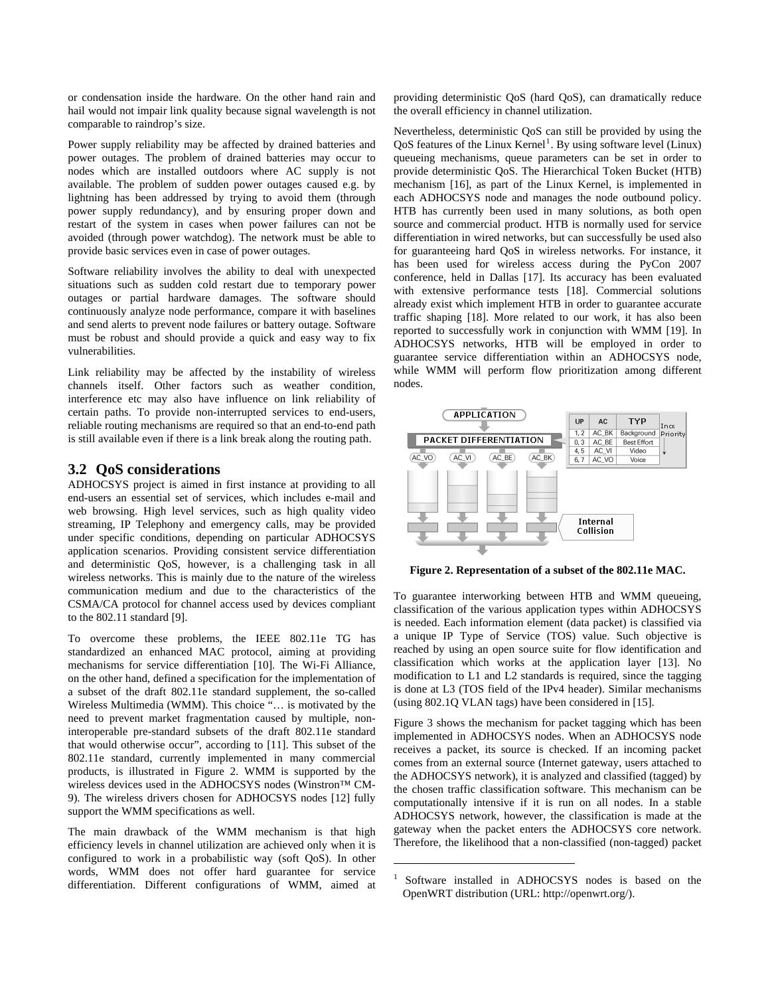or condensation inside the hardware. On the other hand rain and hail would not impair link quality because signal wavelength is not comparable to raindrop's size.

Power supply reliability may be affected by drained batteries and power outages. The problem of drained batteries may occur to nodes which are installed outdoors where AC supply is not available. The problem of sudden power outages caused e.g. by lightning has been addressed by trying to avoid them (through power supply redundancy), and by ensuring proper down and restart of the system in cases when power failures can not be avoided (through power watchdog). The network must be able to provide basic services even in case of power outages.

Software reliability involves the ability to deal with unexpected situations such as sudden cold restart due to temporary power outages or partial hardware damages. The software should continuously analyze node performance, compare it with baselines and send alerts to prevent node failures or battery outage. Software must be robust and should provide a quick and easy way to fix vulnerabilities.

Link reliability may be affected by the instability of wireless channels itself. Other factors such as weather condition, interference etc may also have influence on link reliability of certain paths. To provide non-interrupted services to end-users, reliable routing mechanisms are required so that an end-to-end path is still available even if there is a link break along the routing path.

## **3.2 QoS considerations**

ADHOCSYS project is aimed in first instance at providing to all end-users an essential set of services, which includes e-mail and web browsing. High level services, such as high quality video streaming, IP Telephony and emergency calls, may be provided under specific conditions, depending on particular ADHOCSYS application scenarios. Providing consistent service differentiation and deterministic QoS, however, is a challenging task in all wireless networks. This is mainly due to the nature of the wireless communication medium and due to the characteristics of the CSMA/CA protocol for channel access used by devices compliant to the 802.11 standard [\[9\].](#page-6-6)

To overcome these problems, the IEEE 802.11e TG has standardized an enhanced MAC protocol, aiming at providing mechanisms for service differentiation [\[10\].](#page-6-7) The Wi-Fi Alliance, on the other hand, defined a specification for the implementation of a subset of the draft 802.11e standard supplement, the so-called Wireless Multimedia (WMM). This choice "… is motivated by the need to prevent market fragmentation caused by multiple, noninteroperable pre-standard subsets of the draft 802.11e standard that would otherwise occur", according to [\[11\]](#page-6-8). This subset of the 802.11e standard, currently implemented in many commercial products, is illustrated in Figure 2. WMM is supported by the wireless devices used in the ADHOCSYS nodes (Winstron™ CM-9). The wireless drivers chosen for ADHOCSYS nodes [\[12\]](#page-6-9) fully support the WMM specifications as well.

<span id="page-2-0"></span>The main drawback of the WMM mechanism is that high efficiency levels in channel utilization are achieved only when it is configured to work in a probabilistic way (soft QoS). In other words, WMM does not offer hard guarantee for service differentiation. Different configurations of WMM, aimed at providing deterministic QoS (hard QoS), can dramatically reduce the overall efficiency in channel utilization.

Nevertheless, deterministic QoS can still be provided by using the QoS features of the Linux Kernel<sup>[1](#page-2-0)</sup>. By using software level (Linux) queueing mechanisms, queue parameters can be set in order to provide deterministic QoS. The Hierarchical Token Bucket (HTB) mechanism [\[16\],](#page-6-10) as part of the Linux Kernel, is implemented in each ADHOCSYS node and manages the node outbound policy. HTB has currently been used in many solutions, as both open source and commercial product. HTB is normally used for service differentiation in wired networks, but can successfully be used also for guaranteeing hard QoS in wireless networks. For instance, it has been used for wireless access during the PyCon 2007 conference, held in Dallas [\[17\]](#page-6-11). Its accuracy has been evaluated with extensive performance tests [\[18\].](#page-6-12) Commercial solutions already exist which implement HTB in order to guarantee accurate traffic shaping [\[18\].](#page-6-13) More related to our work, it has also been reported to successfully work in conjunction with WMM [\[19\].](#page-6-14) In ADHOCSYS networks, HTB will be employed in order to guarantee service differentiation within an ADHOCSYS node, while WMM will perform flow prioritization among different nodes.



**Figure 2. Representation of a subset of the 802.11e MAC.** 

To guarantee interworking between HTB and WMM queueing, classification of the various application types within ADHOCSYS is needed. Each information element (data packet) is classified via a unique IP Type of Service (TOS) value. Such objective is reached by using an open source suite for flow identification and classification which works at the application layer [\[13\].](#page-6-15) No modification to L1 and L2 standards is required, since the tagging is done at L3 (TOS field of the IPv4 header). Similar mechanisms (using 802.1Q VLAN tags) have been considered in [\[15\]](#page-6-16).

Figure 3 shows the mechanism for packet tagging which has been implemented in ADHOCSYS nodes. When an ADHOCSYS node receives a packet, its source is checked. If an incoming packet comes from an external source (Internet gateway, users attached to the ADHOCSYS network), it is analyzed and classified (tagged) by the chosen traffic classification software. This mechanism can be computationally intensive if it is run on all nodes. In a stable ADHOCSYS network, however, the classification is made at the gateway when the packet enters the ADHOCSYS core network. Therefore, the likelihood that a non-classified (non-tagged) packet

 $\overline{a}$ 

<sup>1</sup> Software installed in ADHOCSYS nodes is based on the OpenWRT distribution (URL: http://openwrt.org/).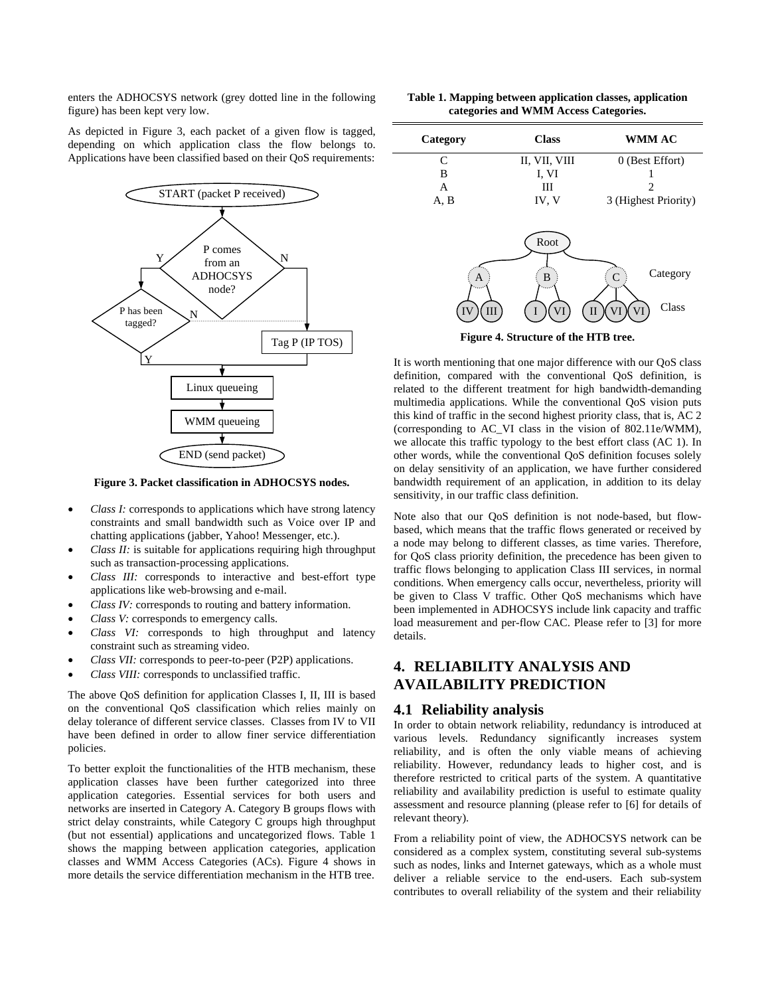enters the ADHOCSYS network (grey dotted line in the following figure) has been kept very low.

As depicted in Figure 3, each packet of a given flow is tagged, depending on which application class the flow belongs to. Applications have been classified based on their QoS requirements:



**Figure 3. Packet classification in ADHOCSYS nodes.** 

- *Class I:* corresponds to applications which have strong latency constraints and small bandwidth such as Voice over IP and chatting applications (jabber, Yahoo! Messenger, etc.).
- *Class II:* is suitable for applications requiring high throughput such as transaction-processing applications.
- *Class III:* corresponds to interactive and best-effort type applications like web-browsing and e-mail.
- *Class IV:* corresponds to routing and battery information.
- *Class V:* corresponds to emergency calls.
- *Class VI:* corresponds to high throughput and latency constraint such as streaming video.
- *Class VII:* corresponds to peer-to-peer (P2P) applications.
- *Class VIII:* corresponds to unclassified traffic.

The above QoS definition for application Classes I, II, III is based on the conventional QoS classification which relies mainly on delay tolerance of different service classes. Classes from IV to VII have been defined in order to allow finer service differentiation policies.

To better exploit the functionalities of the HTB mechanism, these application classes have been further categorized into three application categories. Essential services for both users and networks are inserted in Category A. Category B groups flows with strict delay constraints, while Category C groups high throughput (but not essential) applications and uncategorized flows. Table 1 shows the mapping between application categories, application classes and WMM Access Categories (ACs). Figure 4 shows in more details the service differentiation mechanism in the HTB tree.

| Table 1. Mapping between application classes, application |  |
|-----------------------------------------------------------|--|
| categories and WMM Access Categories.                     |  |

| Category                             | <b>Class</b>    | <b>WMM AC</b>                                       |  |  |
|--------------------------------------|-----------------|-----------------------------------------------------|--|--|
| C                                    | II, VII, VIII   | 0 (Best Effort)                                     |  |  |
| B                                    | I, VI           |                                                     |  |  |
| A                                    | Ш               | 2                                                   |  |  |
| A, B                                 | IV, V           | 3 (Highest Priority)                                |  |  |
| A<br>Ш<br><b>IV</b>                  | Root<br>B<br>VI | Category<br>$\mathcal{C}$<br>Class<br>VI<br>VI<br>П |  |  |
| Figure 4. Structure of the HTB tree. |                 |                                                     |  |  |

It is worth mentioning that one major difference with our QoS class definition, compared with the conventional QoS definition, is related to the different treatment for high bandwidth-demanding multimedia applications. While the conventional QoS vision puts this kind of traffic in the second highest priority class, that is, AC 2 (corresponding to AC\_VI class in the vision of 802.11e/WMM), we allocate this traffic typology to the best effort class (AC 1). In other words, while the conventional QoS definition focuses solely on delay sensitivity of an application, we have further considered bandwidth requirement of an application, in addition to its delay sensitivity, in our traffic class definition.

Note also that our QoS definition is not node-based, but flowbased, which means that the traffic flows generated or received by a node may belong to different classes, as time varies. Therefore, for QoS class priority definition, the precedence has been given to traffic flows belonging to application Class III services, in normal conditions. When emergency calls occur, nevertheless, priority will be given to Class V traffic. Other QoS mechanisms which have been implemented in ADHOCSYS include link capacity and traffic load measurement and per-flow CAC. Please refer to [\[3\]](#page-6-3) for more details.

# **4. RELIABILITY ANALYSIS AND AVAILABILITY PREDICTION**

#### **4.1 Reliability analysis**

In order to obtain network reliability, redundancy is introduced at various levels. Redundancy significantly increases system reliability, and is often the only viable means of achieving reliability. However, redundancy leads to higher cost, and is therefore restricted to critical parts of the system. A quantitative reliability and availability prediction is useful to estimate quality assessment and resource planning (please refer to [\[6\]](#page-6-17) for details of relevant theory).

From a reliability point of view, the ADHOCSYS network can be considered as a complex system, constituting several sub-systems such as nodes, links and Internet gateways, which as a whole must deliver a reliable service to the end-users. Each sub-system contributes to overall reliability of the system and their reliability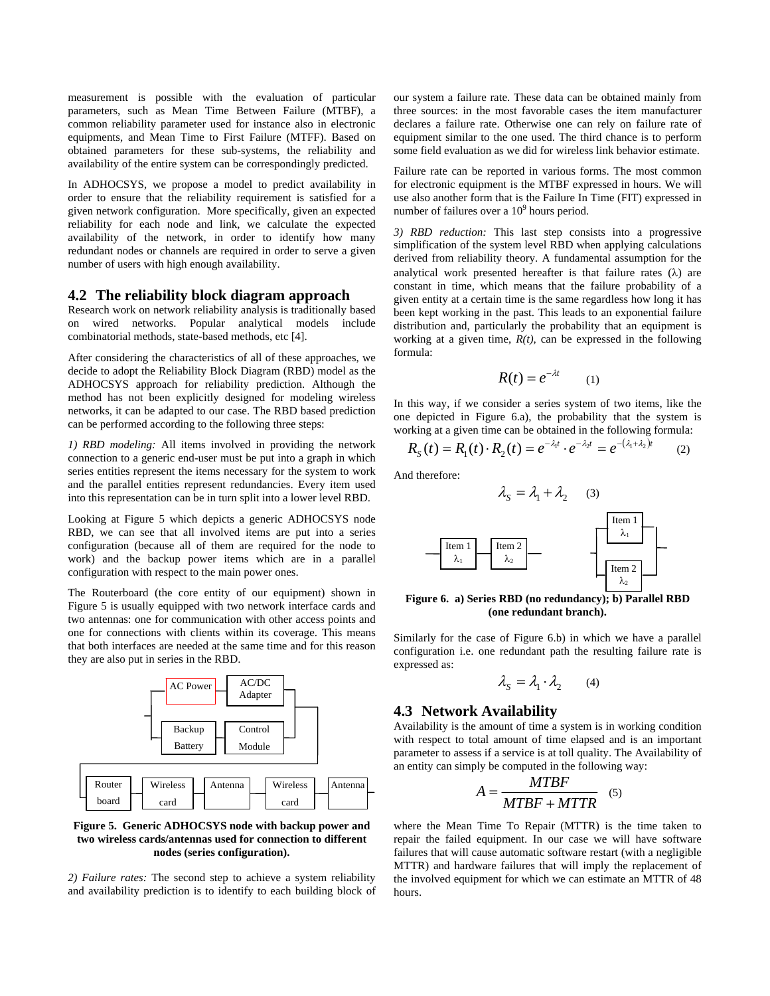measurement is possible with the evaluation of particular parameters, such as Mean Time Between Failure (MTBF), a common reliability parameter used for instance also in electronic equipments, and Mean Time to First Failure (MTFF). Based on obtained parameters for these sub-systems, the reliability and availability of the entire system can be correspondingly predicted.

In ADHOCSYS, we propose a model to predict availability in order to ensure that the reliability requirement is satisfied for a given network configuration. More specifically, given an expected reliability for each node and link, we calculate the expected availability of the network, in order to identify how many redundant nodes or channels are required in order to serve a given number of users with high enough availability.

#### **4.2 The reliability block diagram approach**

Research work on network reliability analysis is traditionally based on wired networks. Popular analytical models include combinatorial methods, state-based methods, etc [\[4\]](#page-6-18).

After considering the characteristics of all of these approaches, we decide to adopt the Reliability Block Diagram (RBD) model as the ADHOCSYS approach for reliability prediction. Although the method has not been explicitly designed for modeling wireless networks, it can be adapted to our case. The RBD based prediction can be performed according to the following three steps:

*1) RBD modeling:* All items involved in providing the network connection to a generic end-user must be put into a graph in which series entities represent the items necessary for the system to work and the parallel entities represent redundancies. Every item used into this representation can be in turn split into a lower level RBD.

Looking at Figure 5 which depicts a generic ADHOCSYS node RBD, we can see that all involved items are put into a series configuration (because all of them are required for the node to work) and the backup power items which are in a parallel configuration with respect to the main power ones.

The Routerboard (the core entity of our equipment) shown in Figure 5 is usually equipped with two network interface cards and two antennas: one for communication with other access points and one for connections with clients within its coverage. This means that both interfaces are needed at the same time and for this reason they are also put in series in the RBD.



#### **Figure 5. Generic ADHOCSYS node with backup power and two wireless cards/antennas used for connection to different nodes (series configuration).**

*2) Failure rates:* The second step to achieve a system reliability and availability prediction is to identify to each building block of our system a failure rate. These data can be obtained mainly from three sources: in the most favorable cases the item manufacturer declares a failure rate. Otherwise one can rely on failure rate of equipment similar to the one used. The third chance is to perform some field evaluation as we did for wireless link behavior estimate.

Failure rate can be reported in various forms. The most common for electronic equipment is the MTBF expressed in hours. We will use also another form that is the Failure In Time (FIT) expressed in number of failures over a  $10<sup>9</sup>$  hours period.

*3) RBD reduction:* This last step consists into a progressive simplification of the system level RBD when applying calculations derived from reliability theory. A fundamental assumption for the analytical work presented hereafter is that failure rates  $(\lambda)$  are constant in time, which means that the failure probability of a given entity at a certain time is the same regardless how long it has been kept working in the past. This leads to an exponential failure distribution and, particularly the probability that an equipment is working at a given time, *R(t),* can be expressed in the following formula:

$$
R(t) = e^{-\lambda t} \qquad (1)
$$

In this way, if we consider a series system of two items, like the one depicted in Figure 6.a), the probability that the system is working at a given time can be obtained in the following formula:

$$
R_{S}(t) = R_{1}(t) \cdot R_{2}(t) = e^{-\lambda_{1}t} \cdot e^{-\lambda_{2}t} = e^{-(\lambda_{1} + \lambda_{2})t}
$$
 (2)

And therefore:



**Figure 6. a) Series RBD (no redundancy); b) Parallel RBD (one redundant branch).** 

Similarly for the case of Figure 6.b) in which we have a parallel configuration i.e. one redundant path the resulting failure rate is expressed as:

$$
\lambda_{\rm S} = \lambda_{\rm l} \cdot \lambda_{\rm 2} \qquad (4)
$$

#### **4.3 Network Availability**

Availability is the amount of time a system is in working condition with respect to total amount of time elapsed and is an important parameter to assess if a service is at toll quality. The Availability of an entity can simply be computed in the following way:

$$
A = \frac{MTBF}{MTBF + MTTR} \quad (5)
$$

where the Mean Time To Repair (MTTR) is the time taken to repair the failed equipment. In our case we will have software failures that will cause automatic software restart (with a negligible MTTR) and hardware failures that will imply the replacement of the involved equipment for which we can estimate an MTTR of 48 hours.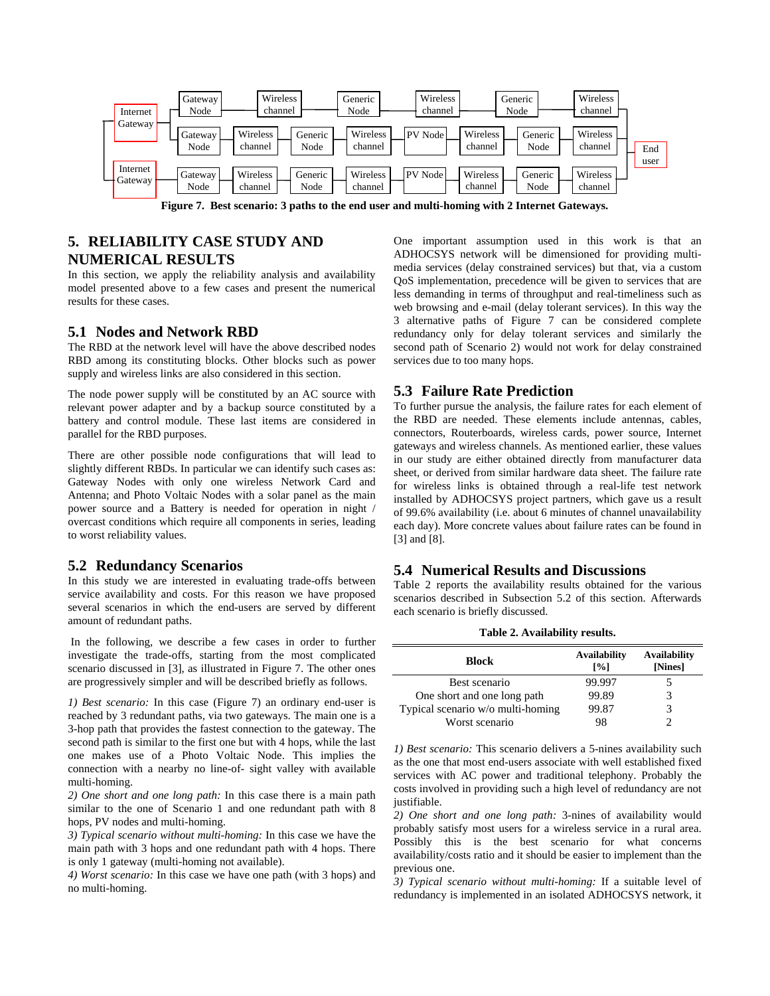

**Figure 7. Best scenario: 3 paths to the end user and multi-homing with 2 Internet Gateways.** 

# <span id="page-5-0"></span>**5. RELIABILITY CASE STUDY AND NUMERICAL RESULTS**

In this section, we apply the reliability analysis and availability model presented above to a few cases and present the numerical results for these cases.

### **5.1 Nodes and Network RBD**

The RBD at the network level will have the above described nodes RBD among its constituting blocks. Other blocks such as power supply and wireless links are also considered in this section.

The node power supply will be constituted by an AC source with relevant power adapter and by a backup source constituted by a battery and control module. These last items are considered in parallel for the RBD purposes.

There are other possible node configurations that will lead to slightly different RBDs. In particular we can identify such cases as: Gateway Nodes with only one wireless Network Card and Antenna; and Photo Voltaic Nodes with a solar panel as the main power source and a Battery is needed for operation in night / overcast conditions which require all components in series, leading to worst reliability values.

#### <span id="page-5-1"></span>**5.2 Redundancy Scenarios**

In this study we are interested in evaluating trade-offs between service availability and costs. For this reason we have proposed several scenarios in which the end-users are served by different amount of redundant paths.

 In the following, we describe a few cases in order to further investigate the trade-offs, starting from the most complicated scenario discussed in [3], as illustrated in Figure 7. The other ones are progressively simpler and will be described briefly as follows.

*1) Best scenario:* In this case (Figure 7) an ordinary end-user is reached by 3 redundant paths, via two gateways. The main one is a 3-hop path that provides the fastest connection to the gateway. The second path is similar to the first one but with 4 hops, while the last one makes use of a Photo Voltaic Node. This implies the connection with a nearby no line-of- sight valley with available multi-homing.

*2) One short and one long path:* In this case there is a main path similar to the one of Scenario 1 and one redundant path with 8 hops, PV nodes and multi-homing.

*3) Typical scenario without multi-homing:* In this case we have the main path with 3 hops and one redundant path with 4 hops. There is only 1 gateway (multi-homing not available).

*4) Worst scenario:* In this case we have one path (with 3 hops) and no multi-homing.

One important assumption used in this work is that an ADHOCSYS network will be dimensioned for providing multimedia services (delay constrained services) but that, via a custom QoS implementation, precedence will be given to services that are less demanding in terms of throughput and real-timeliness such as web browsing and e-mail (delay tolerant services). In this way the 3 alternative paths of Figure 7 can be considered complete redundancy only for delay tolerant services and similarly the second path of Scenario 2) would not work for delay constrained services due to too many hops.

## **5.3 Failure Rate Prediction**

To further pursue the analysis, the failure rates for each element of the RBD are needed. These elements include antennas, cables, connectors, Routerboards, wireless cards, power source, Internet gateways and wireless channels. As mentioned earlier, these values in our study are either obtained directly from manufacturer data sheet, or derived from similar hardware data sheet. The failure rate for wireless links is obtained through a real-life test network installed by ADHOCSYS project partners, which gave us a result of 99.6% availability (i.e. about 6 minutes of channel unavailability each day). More concrete values about failure rates can be found in [\[3\]](#page-6-3) and [\[8\].](#page-6-19)

## **5.4 Numerical Results and Discussions**

Table 2 reports the availability results obtained for the various scenarios described in Subsection [5.2](#page-5-1) of this section. Afterwards each scenario is briefly discussed.

**Table 2. Availability results.** 

| Block                             | <b>Availability</b><br>$\lceil \% \rceil$ | <b>Availability</b><br>[Nines] |
|-----------------------------------|-------------------------------------------|--------------------------------|
| Best scenario                     | 99.997                                    |                                |
| One short and one long path       | 99.89                                     |                                |
| Typical scenario w/o multi-homing | 99.87                                     |                                |
| Worst scenario                    | 98                                        |                                |

*1) Best scenario:* This scenario delivers a 5-nines availability such as the one that most end-users associate with well established fixed services with AC power and traditional telephony. Probably the costs involved in providing such a high level of redundancy are not justifiable.

*2) One short and one long path:* 3-nines of availability would probably satisfy most users for a wireless service in a rural area. Possibly this is the best scenario for what concerns availability/costs ratio and it should be easier to implement than the previous one.

*3) Typical scenario without multi-homing:* If a suitable level of redundancy is implemented in an isolated ADHOCSYS network, it